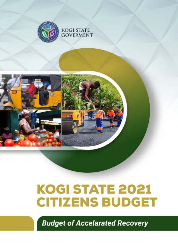



**Budget of Accelarated Recovery**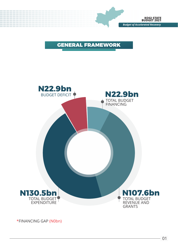

# GENERAL FRAMEWORK



\*FINANCING GAP (N0bn)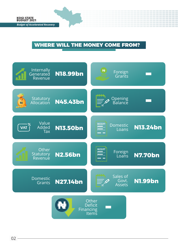# WHERE WILL THE MONEY COME FROM?

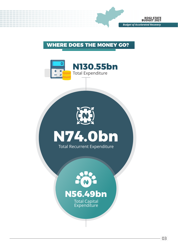

### WHERE DOES THE MONEY GO?







# **N56.49bn**

Total Capital **Expenditure**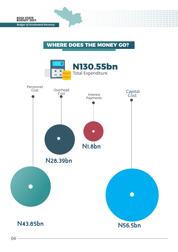## WHERE DOES THE MONEY GO?

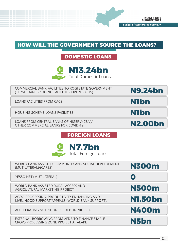### HOW WILL THE GOVERNMENT SOURCE THE LOANS?

# **DOMESTIC LOANS**



COMMERCIAL BANK FACILITIES TO KOGI STATE GOVERNMENT (TERM LOAN, BRIDGING FACILITIES, OVERDRAFTS)

LOANS FACILITIES FROM CACS

HOUSING SCHEME LOANS FACILITIES

LOANS FROM CENTRAL BANKS OF NIGERIA(CBN)/ OTHER COMMERCIAL BANKS FOR COVID-19

**N1bn**

**N9.24bn**

**N1bn**

**N2.00bn**

### **FOREIGN LOANS**



| WORLD BANK ASSISTED COMMUNITY AND SOCIAL DEVELOPMENT<br>(MUTILATERAL)/(CARES)                   | <b>N300m</b>            |
|-------------------------------------------------------------------------------------------------|-------------------------|
| YESSO NET (MUTILATERAL)                                                                         | $\overline{\mathbf{0}}$ |
| WORLD BANK ASSISTED RURAL ACCESS AND<br>AGRICULTURAL MARKETING PROJECT                          | <b>N500m</b>            |
| AGRO-PROCESSING, PRODUCTIVITY ENHANCING AND<br>LIVELIHOOD SUPPORT(APPEALS)(WORLD BANK SUPPORT). | <b>N1.50bn</b>          |
| ACCELERATING NUTRITION RESULTS IN NIGERIA                                                       | <b>N400m</b>            |
| EXTERNAL BORROWING FROM AFDB TO FINANCE STAPLE<br>CROPS PROCESSING ZONE PROJECT AT ALAPE        | N5bn                    |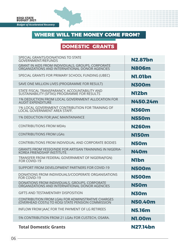

# WHERE WILL THE MONEY COME FROM?

# **DOMESTIC GRANTS**

| SPECIAL GRANTS/DONATIONS TO STATE<br><b>GOVERNMENT/REFUNDS</b>                                         | <b>N2.87bn</b>    |
|--------------------------------------------------------------------------------------------------------|-------------------|
| GRANT IN AIDS FROM INDIVIDUALS, GROUPS, CORPORATE<br>ORGANIZATIONS AND INTERNATIONAL DONOR AGENCIES    | <b>N806m</b>      |
| SPECIAL GRANTS FOR PRIMARY SCHOOL FUNDING (UBEC)                                                       | <b>N1.01bn</b>    |
| SAVE ONE MILLION LIVES (PROGRAMME FOR RESULT)                                                          | <b>N300m</b>      |
| STATE FISCAL TRANSPARANCY, ACCOUNTABILITY AND<br>SUSTAINABILITY (SFTAS) PROGRAMME FOR RESULTS          | N12 <sub>bn</sub> |
| 1% DEDUCTION FROM LOCAL GOVERNMENT ALLOCATION FOR<br><b>AUDIT EXPENDITURE</b>                          | N450.24m          |
| 1% LOCAL GOVERNMENT CONTRIBUTION FOR TRAINING OF<br>LOCAL GOVERNMENT AREA STAFF.                       | <b>N360m</b>      |
| <b>1% DEDUCTION FOR IAAC MAINTAINANCE</b>                                                              | <b>N550m</b>      |
| <b>CONTRIBUTIONS FROM MDAS</b>                                                                         | <b>N260m</b>      |
| <b>CONTRIBUTIONS FROM LGAS</b>                                                                         | <b>N150m</b>      |
| CONTRIBUTIONS FROM INDIVIDUAL AND CORPORATE BODIES                                                     | <b>N50m</b>       |
| <b>GRANTS FROM YESSO/NDE FOR ARTISAN TRAINNING IN NIGERIA-</b><br>KOREA FRIENDSHIP INSTITUTE.          | <b>N40m</b>       |
| TRANSFER FROM FEDERAL GOVERNMENT OF NIGERIA(FGN)<br>FOR COVID-19                                       | <b>N1bn</b>       |
| SUPPORT FROM DEVELOPMENT PARTNERS FOR COVID-19                                                         | <b>N500m</b>      |
| DONATIONS FROM INDIVIDUALS/COOPERATE ORGANISATIONS<br>FOR COVID-19                                     | <b>N500m</b>      |
| DONATIONS FROM INDIVIDUALS, GROUPS, CORPORATE<br>ORGANIZATIONS AND INTERNATIONAL DONOR AGENCIES        | <b>N50m</b>       |
| <b>GIFTS AND TESTAMENTARY DISPOSITION</b>                                                              | <b>N30m</b>       |
| CONTRIBUTION FROM LGAS FOR ADMINISTRATIVE CHARGES<br>(OVERHEAD COSTs) TO KOGI STATE PENSION COMMISSION | <b>N50.40m</b>    |
| INFLOW FROM JAAC FOR THE PAYMENT OF LG RETIREES                                                        | <b>N5.16m</b>     |
| 5% CONTRIBUTION FROM 21 LGAs FOR CUSTECH, OSARA.                                                       | <b>N1.00m</b>     |
| <b>Total Domestic Grants</b>                                                                           | <b>N27.14bn</b>   |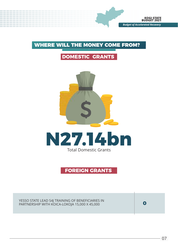# WHERE WILL THE MONEY COME FROM?

# **DOMESTIC GRANTS**





#### **FOREIGN GRANTS**

YESSO STATE LEAD S4J TRAINING OF BENEFICIARIES IN PARTNERSHIP WITH KOICA-LOKOJA 15,000 X 45,000 **0**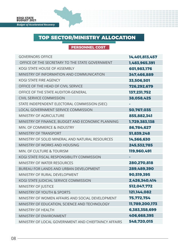#### **PERSONNEL COST**

| <b>GOVERNORS OFFICE</b>                              | 14,401,813,457 |
|------------------------------------------------------|----------------|
| OFFICE OF THE SECRETARY TO THE STATE GOVERNMENT      | 1,483,965,391  |
| KOGI STATE HOUSE OF ASSEMBLY                         | 601.983.176    |
| MINISTRY OF INFORMATION AND COMMUNICATION            | 347.466.889    |
| KOGI STATE FIRE AGENCY                               | 33,506,501     |
| OFFICE OF THE HEAD OF CIVIL SERVICE                  | 726,292,679    |
| OFFICE OF THE STATE AUDITOR-GENERAL                  | 137.231.752    |
| <b>CIVIL SERVICE COMMISSION</b>                      | 38,058,425     |
| STATE INDEPENDENT ELECTORAL COMMISSION (SIEC)        |                |
| LOCAL GOVERNMENT SERVICE COMMISSION                  | 50,767,035     |
| <b>MINISTRY OF AGRICULTURE</b>                       | 855.882.341    |
| MINISTRY OF FINANCE, BUDGET AND ECONOMIC PLANNING    | 1,729,383,138  |
| MIN. OF COMMERCE & INDUSTRY                          | 86,784,627     |
| <b>MINISTRY OF TRANSPORT</b>                         | 51.839.248     |
| MINISTRY OF SOLID MINERAL AND NATURAL RESOURCES      | 14,566,630     |
| MINISTRY OF WORKS AND HOUSING                        | 245,532,785    |
| MIN. OF CULTURE & TOURISM                            | 119,960,491    |
| KOGI STATE FISCAL RESPONSIBILITY COMMISSION          |                |
| MINISTRY OF WATER RESOURCES                          | 280.270.818    |
| BUREAU FOR LANDS AND URBAN DEVELOPMENT               | 289,489,390    |
| MINISTRY OF RURAL DEVELOPMENT                        | 90,519,395     |
| KOGI STATE JUDICIAL SERVICE COMMISSION               | 2.426.340.414  |
| <b>MINISTRY OF JUSTICE</b>                           | 512,047,772    |
| <b>MINISTRY OF YOUTH &amp; SPORTS</b>                | 121,144,082    |
| MINISTRY OF WOMEN AFFAIRS AND SOCIAL DEVELOPMENT     | 75.772.754     |
| MINISTRY OF EDUCATION, SCIENCE AND TECHNOLOGY        | 11,789,200,173 |
| MINISTRY OF HEALTH                                   | 6,383,358,699  |
| MINISTRY OF ENVIRONMENT                              | 406,668,395    |
| MINISTRY OF LOCAL GOVERNMENT AND CHIEFTAINCY AFFAIRS | 548.720.015    |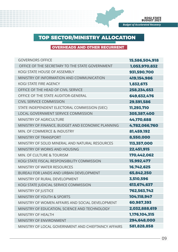#### **OVERHEADS AND OTHER RECURRENT**

| <b>GOVERNORS OFFICE</b>                              | 15,586,504,918 |
|------------------------------------------------------|----------------|
| OFFICE OF THE SECRETARY TO THE STATE GOVERNMENT      | 1,053,970,832  |
| KOGI STATE HOUSE OF ASSEMBLY                         | 931.590.700    |
| MINISTRY OF INFORMATION AND COMMUNICATION            | 419,154,986    |
| KOGI STATE FIRE AGENCY                               | 1,832,673      |
| OFFICE OF THE HEAD OF CIVIL SERVICE                  | 258.234.653    |
| OFFICE OF THE STATE AUDITOR-GENERAL                  | 649,632,476    |
| <b>CIVIL SERVICE COMMISSION</b>                      | 29,591,586     |
| STATE INDEPENDENT ELECTORAL COMMISSION (SIEC)        | 11,293,710     |
| LOCAL GOVERNMENT SERVICE COMMISSION                  | 305,387,400    |
| <b>MINISTRY OF AGRICULTURE</b>                       | 44,170,688     |
| MINISTRY OF FINANCE, BUDGET AND ECONOMIC PLANNING    | 4,782,066,760  |
| MIN. OF COMMERCE & INDUSTRY                          | 81,459,192     |
| <b>MINISTRY OF TRANSPORT</b>                         | 8,550,000      |
| MINISTRY OF SOLID MINERAL AND NATURAL RESOURCES      | 113,357,000    |
| MINISTRY OF WORKS AND HOUSING                        | 22,451,915     |
| MIN. OF CULTURE & TOURISM                            | 170,442,062    |
| KOGI STATE FISCAL RESPONSIBILITY COMMISSION          | 15,992,477     |
| <b>MINISTRY OF WATER RESOURCES</b>                   | 16,742,625     |
| BUREAU FOR LANDS AND URBAN DEVELOPMENT               | 65,842,250     |
| MINISTRY OF RURAL DEVELOPMENT                        | 3,510,596      |
| KOGI STATE JUDICIAL SERVICE COMMISSION               | 613,674,637    |
| <b>MINISTRY OF JUSTICE</b>                           | 762,563,742    |
| <b>MINISTRY OF YOUTH &amp; SPORTS</b>                | 104,118,947    |
| MINISTRY OF WOMEN AFFAIRS AND SOCIAL DEVELOPMENT     | 60,987,393     |
| MINISTRY OF EDUCATION, SCIENCE AND TECHNOLOGY        | 2,032,888,619  |
| <b>MINISTRY OF HEALTH</b>                            | 1,176,104,315  |
| MINISTRY OF ENVIRONMENT                              | 294,648,000    |
| MINISTRY OF LOCAL GOVERNMENT AND CHIEFTAINCY AFFAIRS | 581,828,858    |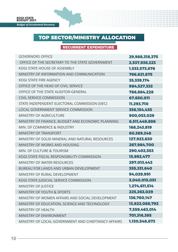#### **RECURRENT EXPENDITURE**

| <b>GOVERNORS OFFICE</b>                              | 29,988,318,375 |
|------------------------------------------------------|----------------|
| OFFICE OF THE SECRETARY TO THE STATE GOVERNMENT      | 2.537.936.223  |
| KOGI STATE HOUSE OF ASSEMBLY                         | 1,533,573,876  |
| MINISTRY OF INFORMATION AND COMMUNICATION            | 766.621.875    |
| KOGI STATE FIRE AGENCY                               | 35,339,174     |
| OFFICE OF THE HEAD OF CIVIL SERVICE                  | 984.527.332    |
| OFFICE OF THE STATE AUDITOR-GENERAL                  | 786.864.228    |
| <b>CIVIL SERVICE COMMISSION</b>                      | 67,650,011     |
| STATE INDEPENDENT ELECTORAL COMMISSION (SIEC)        | 11.293.710     |
| LOCAL GOVERNMENT SERVICE COMMISSION                  | 356,154,435    |
| MINISTRY OF AGRICULTURE                              | 900,053,029    |
| MINISTRY OF FINANCE, BUDGET AND ECONOMIC PLANNING    | 6.511.449.898  |
| MIN. OF COMMERCE & INDUSTRY                          | 168,243,819    |
| MINISTRY OF TRANSPORT                                | 60,389,248     |
| MINISTRY OF SOLID MINERAL AND NATURAL RESOURCES      | 127,923,630    |
| MINISTRY OF WORKS AND HOUSING                        | 267.984.700    |
| MIN. OF CULTURE & TOURISM                            | 290,402,553    |
| KOGI STATE FISCAL RESPONSIBILITY COMMISSION          | 15,992,477     |
| MINISTRY OF WATER RESOURCES                          | 297,013,443    |
| BUREAU FOR LANDS AND URBAN DEVELOPMENT               | 355,331,640    |
| MINISTRY OF RURAL DEVELOPMENT                        | 94,029,991     |
| KOGI STATE JUDICIAL SERVICE COMMISSION               | 3,040,015,051  |
| MINISTRY OF JUSTICE                                  | 1,274,611,514  |
| <b>MINISTRY OF YOUTH &amp; SPORTS</b>                | 225,263,029    |
| MINISTRY OF WOMEN AFFAIRS AND SOCIAL DEVELOPMENT     | 136,760,147    |
| MINISTRY OF EDUCATION, SCIENCE AND TECHNOLOGY        | 13,822,088,792 |
| <b>MINISTRY OF HEALTH</b>                            | 7,559,463,014  |
| MINISTRY OF ENVIRONMENT                              | 701,316,395    |
| MINISTRY OF LOCAL GOVERNMENT AND CHIEFTAINCY AFFAIRS | 1.130.548.873  |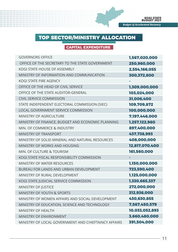#### **CAPITAL EXPENDITURE**

I

| <b>GOVERNORS OFFICE</b>                              | 1,567,020,000  |
|------------------------------------------------------|----------------|
| OFFICE OF THE SECRETARY TO THE STATE GOVERNMENT      | 250,960,000    |
| KOGI STATE HOUSE OF ASSEMBLY                         | 2,554,166,055  |
| MINISTRY OF INFORMATION AND COMMUNICATION            | 300,372,800    |
| KOGI STATE FIRE AGENCY                               |                |
| OFFICE OF THE HEAD OF CIVIL SERVICE                  | 1.309.000.000  |
| OFFICE OF THE STATE AUDITOR-GENERAL                  | 103.024.000    |
| CIVIL SERVICE COMMISSION                             | 31,006,400     |
| STATE INDEPENDENT ELECTORAL COMMISSION (SIEC)        | 109,709,872    |
| LOCAL GOVERNMENT SERVICE COMMISSION                  | 100,000,000    |
| <b>MINISTRY OF AGRICULTURE</b>                       | 7,197,446,000  |
| MINISTRY OF FINANCE, BUDGET AND ECONOMIC PLANNING    | 1.257.122.960  |
| MIN. OF COMMERCE & INDUSTRY                          | 897,400,000    |
| <b>MINISTRY OF TRANSPORT</b>                         | 437,738,993    |
| MINISTRY OF SOLID MINERAL AND NATURAL RESOURCES      | 408,000,000    |
| MINISTRY OF WORKS AND HOUSING                        | 12,817,070,400 |
| MIN. OF CULTURE & TOURISM                            | 161,560,000    |
| KOGI STATE FISCAL RESPONSIBILITY COMMISSION          |                |
| <b>MINISTRY OF WATER RESOURCES</b>                   | 1,150,000,000  |
| <b>BURFAU FOR LANDS AND URBAN DEVELOPMENT</b>        | 723,590,400    |
| MINISTRY OF RURAL DEVELOPMENT                        | 1,125,000,000  |
| KOGI STATE JUDICIAL SERVICE COMMISSION               | 1,330,665,337  |
| MINISTRY OF JUSTICE                                  | 272,000,000    |
| <b>MINISTRY OF YOUTH &amp; SPORTS</b>                | 312,936,000    |
| MINISTRY OF WOMEN AFFAIRS AND SOCIAL DEVELOPMENT     | 430.630.855    |
| MINISTRY OF EDUCATION, SCIENCE AND TECHNOLOGY        | 7,567,450,579  |
| MINISTRY OF HFAITH                                   | 10,033,052,893 |
| MINISTRY OF FNVIRONMENT                              | 3,660,480,000  |
| MINISTRY OF LOCAL GOVERNMENT AND CHIEFTAINCY AFFAIRS | 391,504,000    |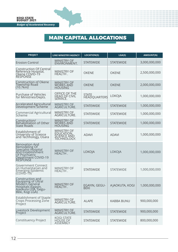# MAIN CAPITAL ALLOCATIONS

| <b>PROJECT</b>                                                                                                                   | <b>LINE MINISTRY/AGENCY</b>                             | <b>LOCATION(S)</b>           | LGA(S)           | <b>AMOUNT(N)</b> |
|----------------------------------------------------------------------------------------------------------------------------------|---------------------------------------------------------|------------------------------|------------------|------------------|
| <b>Erosion Control</b>                                                                                                           | MINISTRY OF<br>ENVIRONMENT.                             | <b>STATEWIDE</b>             | <b>STATEWIDE</b> | 3,000,000,000    |
| Construction Of Central<br>Reference Hospital,<br>Okene COVID-19<br>RESPONSE                                                     | MINISTRY OF<br>HEALTH .                                 | <b>OKENE</b>                 | <b>OKENE</b>     | 2,500,000,000    |
| <b>Construction of Okene</b><br>Township Road<br>(10.7km)                                                                        | MINISTRY OF<br>WORKS AND<br><b>HOUSING</b>              | <b>OKENE</b>                 | <b>OKENE</b>     | 2,000,000,000    |
| Purchase of Vehicles<br>for Ministries/Depts.                                                                                    | OFFICE OF THE<br>HEAD OF CIVIL<br>SERVICE.              | STATE<br><b>HEADQUARTERS</b> | LOKOJA           | 1,000,000,000    |
| Accelerated Agricultural<br>Development Scheme                                                                                   | <b>MINISTRY OF</b><br><b>AGRICULTURE.</b>               | <b>STATEWIDE</b>             | <b>STATEWIDE</b> | 1,000,000,000    |
| Commercial Agricultural<br>Scheme                                                                                                | <b>MINISTRY OF</b><br>AGRICULTURE.                      | <b>STATEWIDE</b>             | <b>STATEWIDE</b> | 1,000,000,000    |
| Construction/<br>Rehabilitation of Other<br>State Roads                                                                          | <b>MINISTRY OF</b><br>WORKS AND<br><b>HOUSING</b>       | <b>STATEWIDE</b>             | <b>STATEWIDE</b> | 1,000,000,000    |
| Establishment of<br>University of Science<br>and Techńology, Osara                                                               | MINISTRY OF<br>EDUCATION,<br>SCIENCE AND<br>TECHNOLOGY. | <b>ADAVI</b>                 | <b>ADAVI</b>     | 1,000,000,000    |
| Renovation And<br>Remodeling Of<br>Specialist Hospital<br>And Establishment<br>Of Psychiatric<br>Department COVID-19<br>RESPONSE | <b>MINISTRY OF</b><br>HEALTH.                           | LOKOJA                       | LOKOJA           | 1,000,000,000    |
| Government Connect<br>on Humanitarian and<br>Emerging Epidemic<br>(COVID-19)                                                     | <b>MINISTRY OF</b><br>HEALTH.                           | <b>STATEWIDE</b>             | STATEWIDE        | 1,000,000,000    |
| Construction and<br>Equipping of Ultral<br>Modern General<br>Hospitals (Egayin,<br>Ajaokuta LGA, Gegu-<br>Beki, Kogi LGA)        | MINISTRY OF<br>HEALTH.                                  | EGAYIN, GEGU-<br><b>BEKI</b> | A JAOKUTA, KOGI  | 1,000,000,000    |
| Establishment of Staple<br>Crops Processing Zone<br>Project                                                                      | <b>MINISTRY OF</b><br>AGRICULTURE.                      | <b>ALAPE</b>                 | KABBA BUNU       | 900,000,000      |
| Livestock Development<br>Project                                                                                                 | MINISTRY OF<br>AGRICULTURE.                             | <b>STATEWIDE</b>             | STATEWIDE        | 900,000,000      |
| <b>Constituency Project</b>                                                                                                      | KOGI STATE<br>HOUSE OF<br><b>ASSEMBLY</b>               | <b>STATEWIDE</b>             | <b>STATEWIDE</b> | 800,000,000      |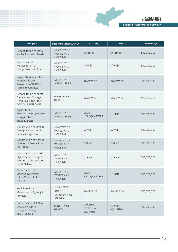#### **KOGI STATE BUDGET 2021**

*Budget of Accelarated Recovery*

| <b>PROJECT</b>                                                                                             | <b>LINE MINISTRY/AGENCY</b>                                             | <b>LOCATION(S)</b>                              | LGA(S)                     | <b>AMOUNT(N)</b> |
|------------------------------------------------------------------------------------------------------------|-------------------------------------------------------------------------|-------------------------------------------------|----------------------------|------------------|
| Rehabilitation of 10KM<br>Kabba Township Roads                                                             | MINISTRY OF<br><b>WORKS AND</b><br><b>HOUSING</b>                       | <b>KABBA BUNU</b>                               | <b>KABBA BUNU</b>          | 800,000,000      |
| Construction/<br>Rehabilitation of<br>Lokoja Township Roads                                                | <b>MINISTRY OF</b><br><b>WORKS AND</b><br><b>HOUSING</b>                | LOKOJA                                          | LOKOJA                     | 800,000,000      |
| Kogi State Accelerated<br><b>Food Production</b><br>Programme/RUDEM<br>(Rice and Cassava)                  | <b>MINISTRY OF</b><br>AGRICULTURE.                                      | <b>STATEWIDE</b>                                | <b>STATEWIDE</b>           | 700,000,000      |
| Rehabilitation of some<br><b>General and Cottage</b><br>Hospitals in the State<br><b>COVID-19 RESPONSE</b> | MINISTRY OF<br>HEALTH.                                                  | <b>STATEWIDE</b>                                | <b>STATEWIDE</b>           | 600,000,000      |
| Agricultural<br>Mechanization (Ministry<br>of Agriculture,<br>Headquarters)                                | <b>MINISTRY OF</b><br>AGRICULTURE.                                      | <b>STATE</b><br><b>HEADQUARTERS</b>             | LOKOJA                     | 500,000,000      |
| Construction of Otokiti<br>Ganaja By pass mutlti-<br>Lane carriage way                                     | MINISTRY OF<br><b>WORKS AND</b><br><b>HOUSING</b>                       | LOKOJA                                          | LOKOJA                     | 500,000,000      |
| <b>Construction of Agassa</b><br>Upogoro - Okene Road<br>(10.71km)                                         | <b>MINISTRY OF</b><br><b>WORKS AND</b><br><b>HOUSING</b>                | <b>OKENE</b>                                    | <b>OKENE</b>               | 500,000,000      |
| Construction of ozuri/<br>Ogaminana/Obangede<br>/Okaito/Kabba Junction<br>Road (9.4km)                     | <b>MINISTRY OF</b><br><b>WORKS AND</b><br><b>HOUSING</b>                | <b>OKENE</b>                                    | <b>OKENE</b>               | 500,000,000      |
| Construction of<br>Obehira Okengwe/<br>Ihima Township Road<br>(21km)                                       | <b>MINISTRY OF</b><br><b>WORKS AND</b><br><b>HOUSING</b>                | <b>STATE</b><br><b>HEADQUARTERS</b>             | <b>LOKOJA</b>              | 500,000,000      |
| Kogi State Road<br>Maintenance Agency's<br>Projects                                                        | <b>KOGI STATE</b><br><b>ROAD</b><br><b>MAINTENANCE</b><br><b>AGENCY</b> | <b>STATEWIDE</b>                                | <b>STATEWIDE</b>           | 500,000,000      |
| Construction of 4 New<br>Cottage Hospital<br>(Obajena, Geregu<br>and Crusher))                             | <b>MINISTRY OF</b><br>HEALTH.                                           | OBAJENA,<br><b>GEREGU AND</b><br><b>CRUSHER</b> | LOKOJA,<br><b>AJAOKUTA</b> | 500,000,000      |